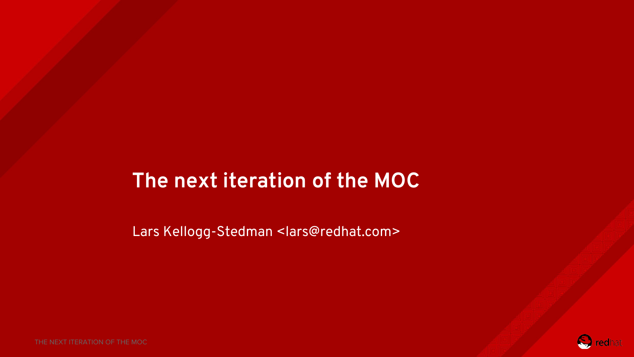#### **The next iteration of the MOC**

Lars Kellogg-Stedman <lars@redhat.com>

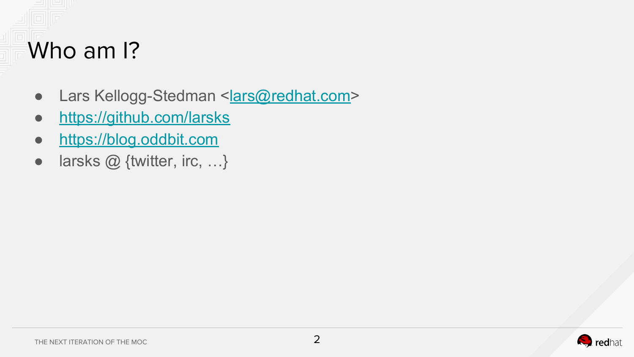# Who am I?

- Lars Kellogg-Stedman <[lars@redhat.com](mailto:lars@redhat.com)>
- <https://github.com/larsks>
- <https://blog.oddbit.com>
- $\bullet$  larsks  $\oslash$  {twitter, irc, ...}

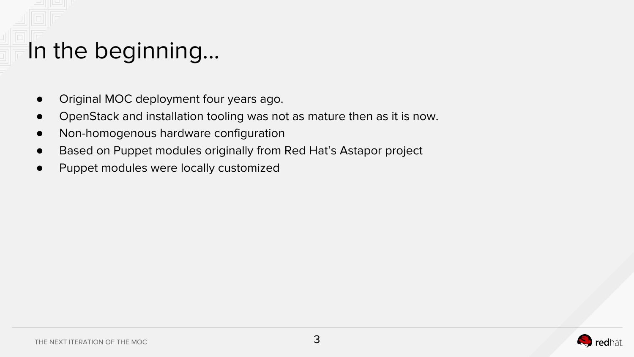# In the beginning...

- Original MOC deployment four years ago.
- OpenStack and installation tooling was not as mature then as it is now.
- Non-homogenous hardware configuration
- Based on Puppet modules originally from Red Hat's Astapor project
- Puppet modules were locally customized

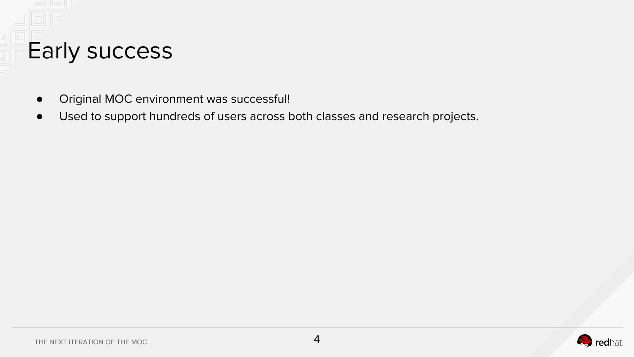

- Original MOC environment was successful!
- Used to support hundreds of users across both classes and research projects.

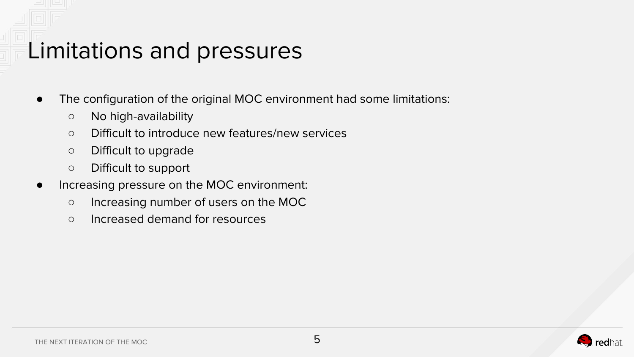#### Limitations and pressures

- The configuration of the original MOC environment had some limitations:
	- No high-availability
	- Difficult to introduce new features/new services
	- Difficult to upgrade
	- Difficult to support
- Increasing pressure on the MOC environment:
	- Increasing number of users on the MOC
	- Increased demand for resources

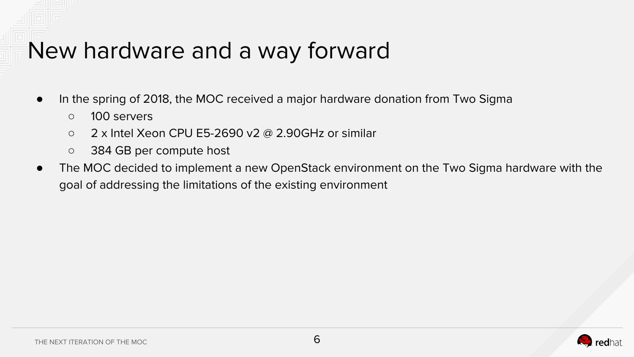#### New hardware and a way forward

- In the spring of 2018, the MOC received a major hardware donation from Two Sigma
	- 100 servers
	- $\circ$  2 x Intel Xeon CPU E5-2690 v2 @ 2.90GHz or similar
	- 384 GB per compute host
- The MOC decided to implement a new OpenStack environment on the Two Sigma hardware with the goal of addressing the limitations of the existing environment

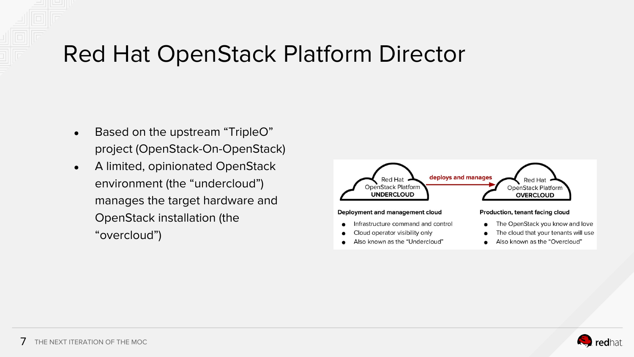#### Red Hat OpenStack Platform Director

- Based on the upstream "TripleO" project (OpenStack-On-OpenStack)
- A limited, opinionated OpenStack environment (the "undercloud") manages the target hardware and OpenStack installation (the "overcloud")



Also known as the "Overcloud"

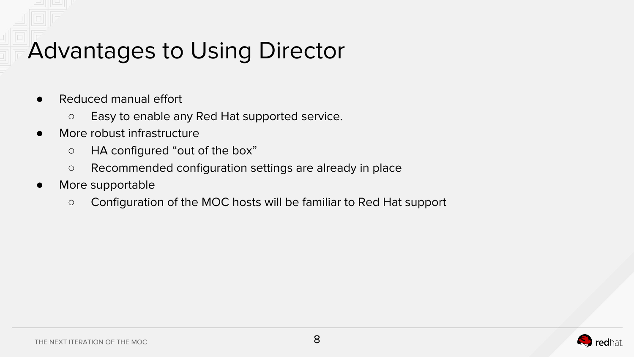#### Advantages to Using Director

- Reduced manual effort
	- Easy to enable any Red Hat supported service.
- More robust infrastructure
	- HA configured "out of the box"
	- Recommended configuration settings are already in place
- More supportable
	- Configuration of the MOC hosts will be familiar to Red Hat support

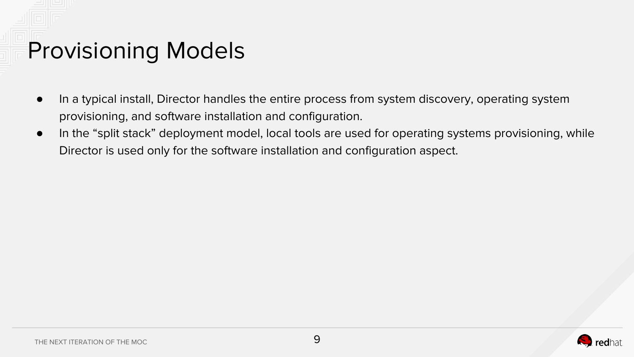## Provisioning Models

- In a typical install, Director handles the entire process from system discovery, operating system provisioning, and software installation and configuration.
- In the "split stack" deployment model, local tools are used for operating systems provisioning, while Director is used only for the software installation and configuration aspect.

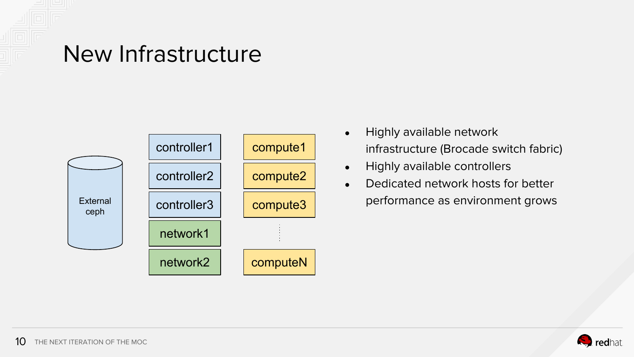

#### New Infrastructure



- Highly available network infrastructure (Brocade switch fabric)
- Highly available controllers
- Dedicated network hosts for better performance as environment grows

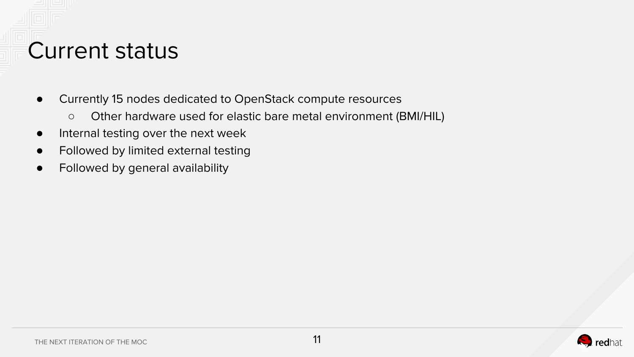# Current status

- Currently 15 nodes dedicated to OpenStack compute resources
	- Other hardware used for elastic bare metal environment (BMI/HIL)
- Internal testing over the next week
- Followed by limited external testing
- Followed by general availability